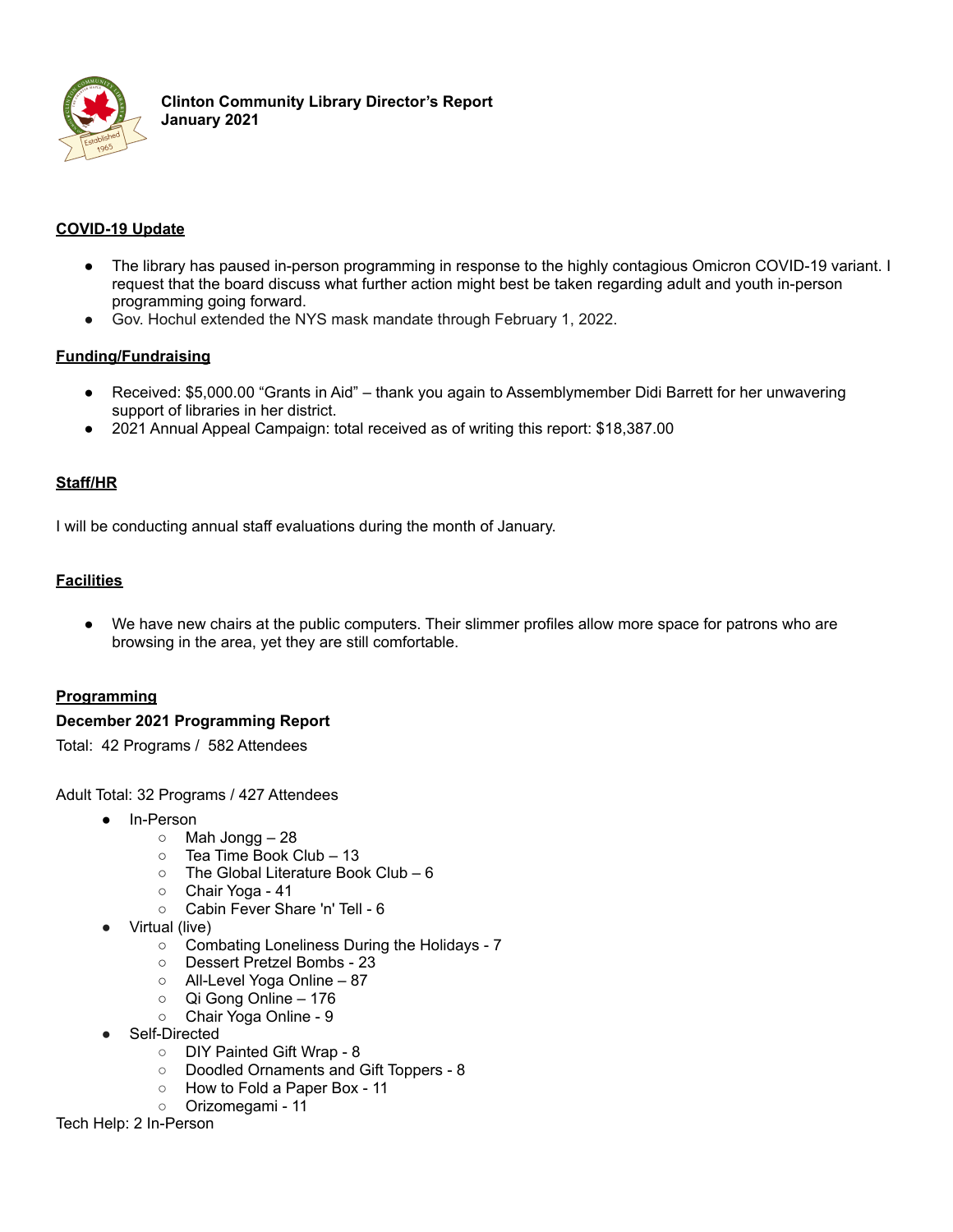

# **COVID-19 Update**

- The library has paused in-person programming in response to the highly contagious Omicron COVID-19 variant. I request that the board discuss what further action might best be taken regarding adult and youth in-person programming going forward.
- Gov. Hochul extended the NYS mask mandate through February 1, 2022.

## **Funding/Fundraising**

- Received: \$5,000.00 "Grants in Aid" thank you again to Assemblymember Didi Barrett for her unwavering support of libraries in her district.
- 2021 Annual Appeal Campaign: total received as of writing this report: \$18,387.00

### **Staff/HR**

I will be conducting annual staff evaluations during the month of January.

## **Facilities**

● We have new chairs at the public computers. Their slimmer profiles allow more space for patrons who are browsing in the area, yet they are still comfortable.

### **Programming**

### **December 2021 Programming Report**

Total: 42 Programs / 582 Attendees

Adult Total: 32 Programs / 427 Attendees

- In-Person
	- $\circ$  Mah Jongg 28
	- Tea Time Book Club 13
	- The Global Literature Book Club 6
	- Chair Yoga 41
	- Cabin Fever Share 'n' Tell 6
- Virtual (live)
	- Combating Loneliness During the Holidays 7
	- Dessert Pretzel Bombs 23
	- All-Level Yoga Online 87
	- Qi Gong Online 176
	- Chair Yoga Online 9
- Self-Directed
	- DIY Painted Gift Wrap 8
	- Doodled Ornaments and Gift Toppers 8
	- How to Fold a Paper Box 11

○ Orizomegami - 11 Tech Help: 2 In-Person